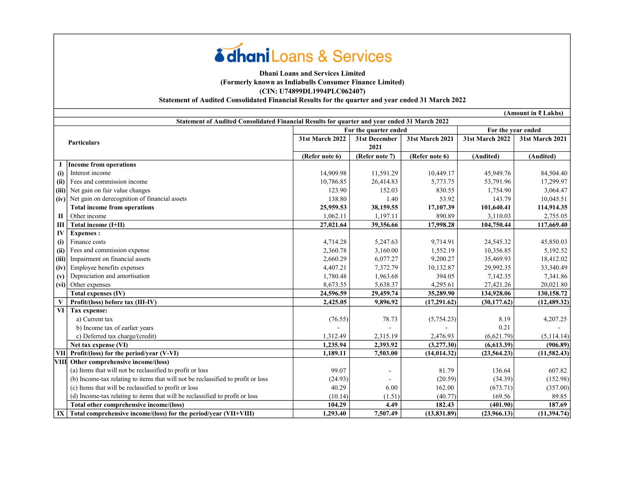# **édhani** Loans & Services

### Dhani Loans and Services Limited (Formerly known as Indiabulls Consumer Finance Limited) (CIN: U74899DL1994PLC062407) Statement of Audited Consolidated Financial Results for the quarter and year ended 31 March 2022

(Amount in ₹ Lakhs)

|           | Statement of Audited Consolidated Financial Results for quarter and year ended 31 March 2022 |                 |                       |                 |                 |                    |
|-----------|----------------------------------------------------------------------------------------------|-----------------|-----------------------|-----------------|-----------------|--------------------|
|           |                                                                                              |                 | For the quarter ended |                 |                 | For the year ended |
|           | <b>Particulars</b>                                                                           | 31st March 2022 | 31st December         | 31st March 2021 | 31st March 2022 | 31st March 2021    |
|           |                                                                                              |                 | 2021                  |                 |                 |                    |
|           |                                                                                              | (Refer note 6)  | (Refer note 7)        | (Refer note 6)  | (Audited)       | (Audited)          |
|           | <b>Income from operations</b>                                                                |                 |                       |                 |                 |                    |
| (i)       | Interest income                                                                              | 14,909.98       | 11,591.29             | 10,449.17       | 45,949.76       | 84,504.40          |
| (ii)      | Fees and commission income                                                                   | 10,786.85       | 26,414.83             | 5,773.75        | 53,791.96       | 17,299.97          |
| (iii)     | Net gain on fair value changes                                                               | 123.90          | 152.03                | 830.55          | 1,754.90        | 3,064.47           |
| (iv)      | Net gain on derecognition of financial assets                                                | 138.80          | 1.40                  | 53.92           | 143.79          | 10,045.51          |
|           | <b>Total income from operations</b>                                                          | 25,959.53       | 38,159.55             | 17,107.39       | 101,640.41      | 114,914.35         |
| Π         | Other income                                                                                 | 1,062.11        | 1.197.11              | 890.89          | 3.110.03        | 2,755.05           |
| Ш         | Total income (I+II)                                                                          | 27,021.64       | 39,356.66             | 17,998.28       | 104,750.44      | 117,669.40         |
| IV        | <b>Expenses:</b>                                                                             |                 |                       |                 |                 |                    |
| (i)       | Finance costs                                                                                | 4,714.28        | 5,247.63              | 9,714.91        | 24,545.32       | 45,850.03          |
| (ii)      | Fees and commission expense                                                                  | 2,360.78        | 3,160.00              | 1,552.19        | 10,356.85       | 5,192.52           |
| (iii)     | Impairment on financial assets                                                               | 2,660.29        | 6,077.27              | 9,200.27        | 35,469.93       | 18,412.02          |
| (iv)      | Employee benefits expenses                                                                   | 4,407.21        | 7,372.79              | 10,132.87       | 29,992.35       | 33,340.49          |
| (v)       | Depreciation and amortisation                                                                | 1,780.48        | 1,963.68              | 394.05          | 7,142.35        | 7,341.86           |
|           | (vi) Other expenses                                                                          | 8,673.55        | 5,638.37              | 4,295.61        | 27,421.26       | 20,021.80          |
|           | Total expenses (IV)                                                                          | 24,596.59       | 29,459.74             | 35,289.90       | 134,928.06      | 130,158.72         |
|           | Profit/(loss) before tax (III-IV)                                                            | 2,425.05        | 9,896.92              | (17,291.62)     | (30, 177.62)    | (12, 489.32)       |
| <b>VI</b> | Tax expense:                                                                                 |                 |                       |                 |                 |                    |
|           | a) Current tax                                                                               | (76.55)         | 78.73                 | (5,754.23)      | 8.19            | 4,207.25           |
|           | b) Income tax of earlier years                                                               |                 |                       |                 | 0.21            |                    |
|           | c) Deferred tax charge/(credit)                                                              | 1,312.49        | 2,315.19              | 2,476.93        | (6,621.79)      | (5,114.14)         |
|           | Net tax expense (VI)                                                                         | 1,235.94        | 2,393.92              | (3,277.30)      | (6,613.39)      | (906.89)           |
|           | VII Profit/(loss) for the period/year (V-VI)                                                 | 1,189.11        | 7,503.00              | (14, 014.32)    | (23, 564.23)    | (11, 582.43)       |
| VIII      | Other comprehensive income/(loss)                                                            |                 |                       |                 |                 |                    |
|           | (a) Items that will not be reclassified to profit or loss                                    | 99.07           |                       | 81.79           | 136.64          | 607.82             |
|           | (b) Income-tax relating to items that will not be reclassified to profit or loss             | (24.93)         |                       | (20.59)         | (34.39)         | (152.98)           |
|           | (c) Items that will be reclassified to profit or loss                                        | 40.29           | 6.00                  | 162.00          | (673.71)        | (357.00)           |
|           | (d) Income-tax relating to items that will be reclassified to profit or loss                 | (10.14)         | (1.51)                | (40.77)         | 169.56          | 89.85              |
|           | Total other comprehensive income/(loss)                                                      | 104.29          | 4.49                  | 182.43          | (401.90)        | 187.69             |
| IX        | Total comprehensive income/(loss) for the period/vear (VII+VIII)                             | 1,293.40        | 7,507.49              | (13, 831.89)    | (23,966.13)     | (11, 394, 74)      |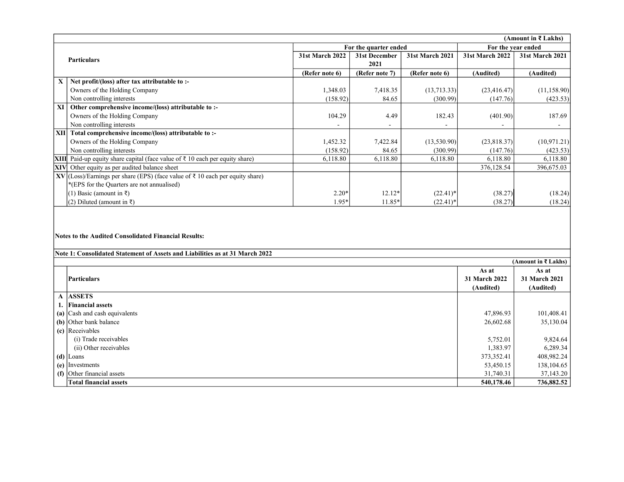|            | (Amount in ₹ Lakhs)                                                           |                        |                       |                 |                        |                    |
|------------|-------------------------------------------------------------------------------|------------------------|-----------------------|-----------------|------------------------|--------------------|
|            |                                                                               |                        | For the quarter ended |                 |                        | For the year ended |
|            | <b>Particulars</b>                                                            | <b>31st March 2022</b> | 31st December         | 31st March 2021 | <b>31st March 2022</b> | 31st March 2021    |
|            |                                                                               |                        | 2021                  |                 |                        |                    |
|            |                                                                               | (Refer note 6)         | (Refer note 7)        | (Refer note 6)  | (Audited)              | (Audited)          |
| X          | Net profit/(loss) after tax attributable to :-                                |                        |                       |                 |                        |                    |
|            | Owners of the Holding Company                                                 | 1,348.03               | 7,418.35              | (13, 713.33)    | (23, 416.47)           | (11, 158.90)       |
|            | Non controlling interests                                                     | (158.92)               | 84.65                 | (300.99)        | (147.76)               | (423.53)           |
| XI         | Other comprehensive income/(loss) attributable to :-                          |                        |                       |                 |                        |                    |
|            | Owners of the Holding Company                                                 | 104.29                 | 4.49                  | 182.43          | (401.90)               | 187.69             |
|            | Non controlling interests                                                     |                        |                       |                 |                        |                    |
| XII        | Total comprehensive income/(loss) attributable to :-                          |                        |                       |                 |                        |                    |
|            | Owners of the Holding Company                                                 | 1,452.32               | 7,422.84              | (13,530.90)     | (23,818.37)            | (10, 971.21)       |
|            | Non controlling interests                                                     | (158.92)               | 84.65                 | (300.99)        | (147.76)               | (423.53)           |
| XIII       | Paid-up equity share capital (face value of ₹ 10 each per equity share)       | 6,118.80               | 6,118.80              | 6,118.80        | 6,118.80               | 6,118.80           |
| <b>XIV</b> | Other equity as per audited balance sheet                                     |                        |                       |                 | 376,128.54             | 396,675.03         |
|            | XV (Loss)/Earnings per share (EPS) (face value of ₹ 10 each per equity share) |                        |                       |                 |                        |                    |
|            | *(EPS for the Quarters are not annualised)                                    |                        |                       |                 |                        |                    |
|            | (1) Basic (amount in $\bar{x}$ )                                              | $2.20*$                | $12.12*$              | $(22.41)^*$     | (38.27)                | (18.24)            |
|            | (2) Diluted (amount in $\bar{x}$ )                                            | $1.95*$                | 11.85*                | $(22.41)^*$     | (38.27)                | (18.24)            |

#### Notes to the Audited Consolidated Financial Results:

| (Amount in ₹ Lakhs)                         |               |               |  |  |
|---------------------------------------------|---------------|---------------|--|--|
|                                             | As at         | As at         |  |  |
| Particulars                                 | 31 March 2022 | 31 March 2021 |  |  |
|                                             | (Audited)     | (Audited)     |  |  |
| A ASSETS                                    |               |               |  |  |
| 1. Financial assets                         |               |               |  |  |
| $\int$ (a) $\int$ Cash and cash equivalents | 47,896.93     | 101,408.41    |  |  |
| (b) Other bank balance                      | 26,602.68     | 35,130.04     |  |  |
| $\vert$ (c) Receivables                     |               |               |  |  |
| (i) Trade receivables                       | 5,752.01      | 9,824.64      |  |  |
| (ii) Other receivables                      | 1,383.97      | 6,289.34      |  |  |
| $(d)$ Loans                                 | 373,352.41    | 408,982.24    |  |  |
| $(e)$ Investments                           | 53,450.15     | 138,104.65    |  |  |
| $\int$ (f) Other financial assets           | 31,740.31     | 37,143.20     |  |  |
| <b>Total financial assets</b>               | 540,178.46    | 736,882.52    |  |  |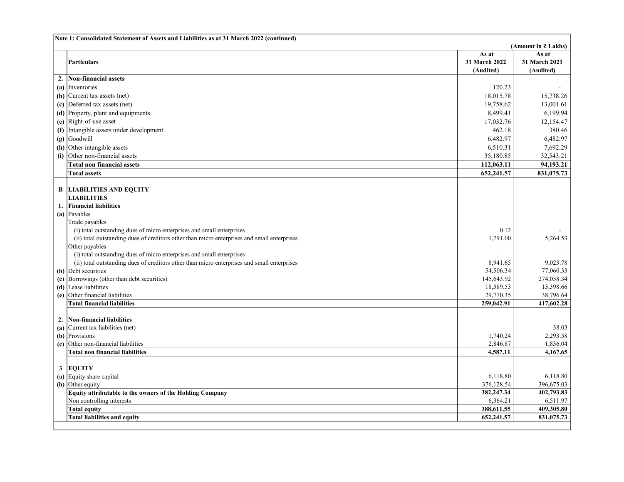|    | Note 1: Consolidated Statement of Assets and Liabilities as at 31 March 2022 (continued)    |                        |                        |
|----|---------------------------------------------------------------------------------------------|------------------------|------------------------|
|    |                                                                                             |                        | (Amount in ₹ Lakhs)    |
|    |                                                                                             | As at                  | As at                  |
|    | Particulars                                                                                 | 31 March 2022          | 31 March 2021          |
|    |                                                                                             | (Audited)              | (Audited)              |
| 2. | Non-financial assets                                                                        |                        |                        |
|    | (a) Inventories                                                                             | 120.23                 |                        |
|    | (b) Current tax assets (net)                                                                | 18,015.78              | 15,738.26              |
|    | (c) Deferred tax assets (net)                                                               | 19,758.62              | 13,001.61              |
|    | (d) Property, plant and equipments                                                          | 8,499.41               | 6,199.94               |
|    | (e) $\left $ Right-of-use asset                                                             | 17,032.76              | 12,154.47              |
|    | (f) Intangible assets under development                                                     | 462.18                 | 380.46                 |
|    | $(g)$ Goodwill                                                                              | 6,482.97               | 6,482.97               |
|    | $(h)$ Other intangible assets                                                               | 6,510.31               | 7,692.29               |
|    | (i) Other non-financial assets                                                              | 35,180.85              | 32,543.21              |
|    | <b>Total non financial assets</b>                                                           | 112,063.11             | 94,193.21              |
|    | <b>Total assets</b>                                                                         | 652,241.57             | 831,075.73             |
|    |                                                                                             |                        |                        |
| В  | <b>LIABILITIES AND EQUITY</b>                                                               |                        |                        |
|    | <b>LIABILITIES</b>                                                                          |                        |                        |
| 1. | <b>Financial liabilities</b>                                                                |                        |                        |
|    | (a) Payables                                                                                |                        |                        |
|    | Trade payables                                                                              |                        |                        |
|    | (i) total outstanding dues of micro enterprises and small enterprises                       | 0.12                   |                        |
|    | (ii) total outstanding dues of creditors other than micro enterprises and small enterprises | 1,791.00               | 5,264.53               |
|    | Other payables                                                                              |                        |                        |
|    | (i) total outstanding dues of micro enterprises and small enterprises                       |                        |                        |
|    | (ii) total outstanding dues of creditors other than micro enterprises and small enterprises | 8.941.65               | 9.023.78               |
|    | (b) Debt securities                                                                         | 54,506.34              | 77,060.33              |
|    | (c) Borrowings (other than debt securities)                                                 | 145,643.92             | 274,058.34             |
|    | (d) Lease liabilities                                                                       | 18,389.53              | 13,398.66              |
|    | (e) Other financial liabilities                                                             | 29,770.35              | 38,796.64              |
|    | <b>Total financial liabilities</b>                                                          | 259,042.91             | 417,602.28             |
|    |                                                                                             |                        |                        |
|    | 2. Non-financial liabilities                                                                |                        |                        |
|    | (a) Current tax liabilities (net)                                                           |                        | 38.03                  |
|    | (b) Provisions                                                                              | 1,740.24               | 2,293.58               |
|    | (c) Other non-financial liabilities                                                         | 2,846.87               | 1,836.04               |
|    | <b>Total non financial liabilities</b>                                                      | 4,587.11               | 4,167.65               |
|    |                                                                                             |                        |                        |
| 3  | <b>EQUITY</b><br>(a) Equity share capital                                                   |                        |                        |
|    | (b) Other equity                                                                            | 6,118.80<br>376,128.54 | 6,118.80<br>396,675.03 |
|    | Equity attributable to the owners of the Holding Company                                    | 382,247.34             | 402,793.83             |
|    | Non controlling interests                                                                   | 6,364.21               | 6,511.97               |
|    | <b>Total equity</b>                                                                         | 388,611.55             | 409,305.80             |
|    | <b>Total liabilities and equity</b>                                                         | 652,241.57             | 831,075.73             |
|    |                                                                                             |                        |                        |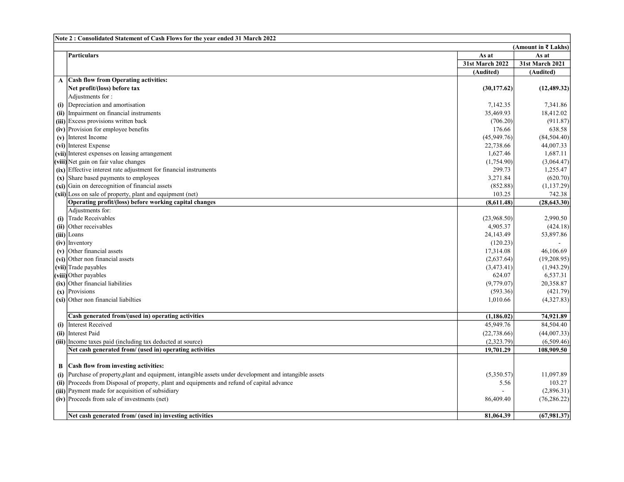|   | Note 2: Consolidated Statement of Cash Flows for the year ended 31 March 2022                                         |                         |                        |
|---|-----------------------------------------------------------------------------------------------------------------------|-------------------------|------------------------|
|   |                                                                                                                       |                         | (Amount in ₹ Lakhs)    |
|   | Particulars                                                                                                           | As at                   | As at                  |
|   |                                                                                                                       | 31st March 2022         | <b>31st March 2021</b> |
|   |                                                                                                                       | (Audited)               | (Audited)              |
|   | A Cash flow from Operating activities:                                                                                |                         |                        |
|   | Net profit/(loss) before tax                                                                                          | (30, 177.62)            | (12, 489.32)           |
|   | Adjustments for:                                                                                                      |                         |                        |
|   | (i) Depreciation and amortisation                                                                                     | 7,142.35                | 7,341.86               |
|   | (ii) Impairment on financial instruments                                                                              | 35,469.93               | 18,412.02              |
|   | (iii) Excess provisions written back                                                                                  | (706.20)                | (911.87)               |
|   | $(iv)$ Provision for employee benefits                                                                                | 176.66                  | 638.58                 |
|   | $(v)$ Interest Income                                                                                                 | (45,949.76)             | (84, 504.40)           |
|   | (vi) Interest Expense                                                                                                 | 22,738.66               | 44,007.33              |
|   | (vii) Interest expenses on leasing arrangement                                                                        | 1,627.46                | 1,687.11               |
|   | (viii) Net gain on fair value changes                                                                                 | (1,754.90)              | (3,064.47)             |
|   | $(ix)$ Effective interest rate adjustment for financial instruments                                                   | 299.73                  | 1,255.47               |
|   | (x) Share based payments to employees                                                                                 | 3,271.84                | (620.70)               |
|   | $(xi)$ Gain on derecognition of financial assets                                                                      | (852.88)                | (1, 137.29)            |
|   | $(xii)$ Loss on sale of property, plant and equipment (net)                                                           | 103.25                  | 742.38                 |
|   | Operating profit/(loss) before working capital changes                                                                | (8,611.48)              | (28, 643.30)           |
|   | Adjustments for:                                                                                                      |                         |                        |
|   | (i) Trade Receivables                                                                                                 | (23,968.50)             | 2,990.50               |
|   | (ii) Other receivables                                                                                                | 4,905.37                | (424.18)               |
|   | $(iii)$ Loans                                                                                                         | 24,143.49               | 53,897.86              |
|   | $(iv)$ Inventory                                                                                                      | (120.23)                |                        |
|   | $(v)$ Other financial assets                                                                                          | 17,314.08               | 46,106.69              |
|   | (vi) Other non financial assets                                                                                       | (2,637.64)              | (19,208.95)            |
|   | (vii) Trade payables                                                                                                  | (3,473.41)              | (1,943.29)             |
|   | (viii) Other payables                                                                                                 | 624.07                  | 6,537.31               |
|   | $(ix)$ Other financial liabilities                                                                                    | (9,779.07)              | 20.358.87              |
|   | $(x)$ Provisions                                                                                                      | (593.36)                | (421.79)               |
|   | $(xi)$ Other non financial liabilties                                                                                 | 1,010.66                | (4,327.83)             |
|   | Cash generated from/(used in) operating activities                                                                    |                         |                        |
|   | (i) Interest Received                                                                                                 | (1,186.02)<br>45,949.76 | 74,921.89<br>84,504.40 |
|   |                                                                                                                       |                         |                        |
|   | (ii) Interest Paid                                                                                                    | (22, 738.66)            | (44,007.33)            |
|   | (iii) Income taxes paid (including tax deducted at source)<br>Net cash generated from/ (used in) operating activities | (2,323.79)              | (6,509.46)             |
|   |                                                                                                                       | 19,701.29               | 108,909.50             |
| В | Cash flow from investing activities:                                                                                  |                         |                        |
|   | (i) Purchase of property, plant and equipment, intangible assets under development and intangible assets              | (5,350.57)              | 11,097.89              |
|   | (ii) Proceeds from Disposal of property, plant and equipments and refund of capital advance                           | 5.56                    | 103.27                 |
|   | (iii) Payment made for acquisition of subsidiary                                                                      |                         | (2,896.31)             |
|   | (iv) Proceeds from sale of investments (net)                                                                          | 86,409.40               | (76, 286.22)           |
|   |                                                                                                                       |                         |                        |
|   | Net cash generated from/ (used in) investing activities                                                               | 81,064.39               | (67,981.37)            |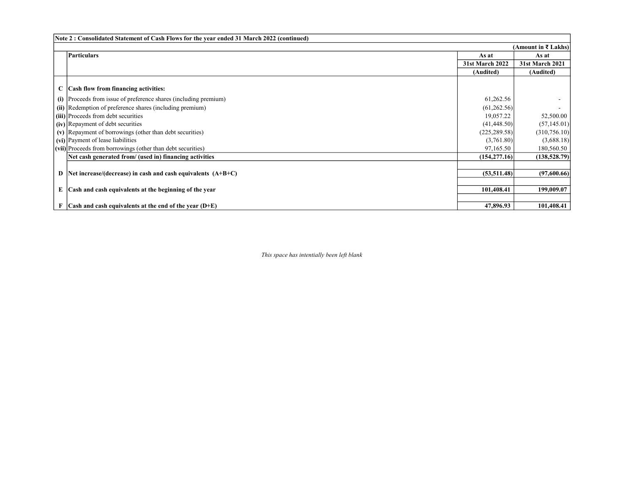| Note 2: Consolidated Statement of Cash Flows for the year ended 31 March 2022 (continued) |                        |                        |  |  |  |
|-------------------------------------------------------------------------------------------|------------------------|------------------------|--|--|--|
|                                                                                           |                        | (Amount in ₹ Lakhs)    |  |  |  |
| <b>Particulars</b>                                                                        | As at                  | As at                  |  |  |  |
|                                                                                           | <b>31st March 2022</b> | <b>31st March 2021</b> |  |  |  |
|                                                                                           | (Audited)              | (Audited)              |  |  |  |
|                                                                                           |                        |                        |  |  |  |
| $C$ $\vert$ Cash flow from financing activities:                                          |                        |                        |  |  |  |
| (i) Proceeds from issue of preference shares (including premium)                          | 61,262.56              |                        |  |  |  |
| (ii) Redemption of preference shares (including premium)                                  | (61, 262.56)           |                        |  |  |  |
| (iii) Proceeds from debt securities                                                       | 19,057.22              | 52,500.00              |  |  |  |
| (iv) Repayment of debt securities                                                         | (41, 448.50)           | (57, 145.01)           |  |  |  |
| (v) Repayment of borrowings (other than debt securities)                                  | (225, 289.58)          | (310,756.10)           |  |  |  |
| (vi) Payment of lease liabilities                                                         | (3,761.80)             | (3,688.18)             |  |  |  |
| (vii) Proceeds from borrowings (other than debt securities)                               | 97,165.50              | 180,560.50             |  |  |  |
| Net cash generated from/ (used in) financing activities                                   | (154, 277, 16)         | (138, 528.79)          |  |  |  |
|                                                                                           |                        |                        |  |  |  |
| D  Net increase/(decrease) in cash and cash equivalents $(A+B+C)$                         | (53, 511, 48)          | (97,600.66)            |  |  |  |
|                                                                                           |                        |                        |  |  |  |
| $E$ Cash and cash equivalents at the beginning of the year                                | 101,408.41             | 199,009.07             |  |  |  |
|                                                                                           |                        |                        |  |  |  |
| $F Cash$ and cash equivalents at the end of the year $(D+E)$                              | 47,896.93              | 101,408.41             |  |  |  |

This space has intentially been left blank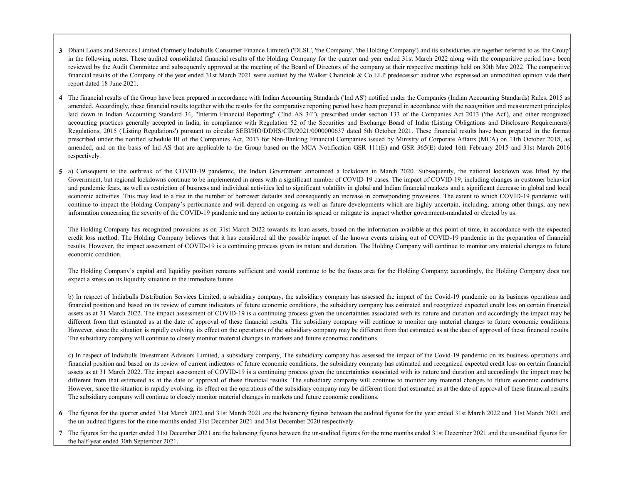- 3 Dhani Loans and Services Limited (formerly Indiabulls Consumer Finance Limited) ('DLSL', 'the Company', 'the Holding Company') and its subsidiaries are together referred to as 'the Group' in the following notes. These audited consolidated financial results of the Holding Company for the quarter and year ended 31st March 2022 along with the comparitive period have been reviewed by the Audit Committee and subsequently approved at the meeting of the Board of Directors of the company at their respective meetings held on 30th May 2022. The comparitive financial results of the Company of the year ended 31st March 2021 were audited by the Walker Chandiok & Co LLP predecessor auditor who expressed an unmodified opinion vide their report dated 18 June 2021.
- 4 The financial results of the Group have been prepared in accordance with Indian Accounting Standards ('Ind AS') notified under the Companies (Indian Accounting Standards) Rules, 2015 as amended. Accordingly, these financial results together with the results for the comparative reporting period have been prepared in accordance with the recognition and measurement principles laid down in Indian Accounting Standard 34, "Interim Financial Reporting" ("Ind AS 34"), prescribed under section 133 of the Companies Act 2013 ('the Act'), and other recognized accounting practices generally accepted in India, in compliance with Regulation 52 of the Securities and Exchange Board of India (Listing Obligations and Disclosure Requirements) Regulations, 2015 ('Listing Regulations') pursuant to circular SEBI/HO/DDHS/CIR/2021/000000637 dated 5th October 2021. These financial results have been prepared in the format prescribed under the notified schedule III of the Companies Act, 2013 for Non-Banking Financial Companies issued by Ministry of Corporate Affairs (MCA) on 11th October 2018, as amended, and on the basis of Ind-AS that are applicable to the Group based on the MCA Notification GSR 111(E) and GSR 365(E) dated 16th February 2015 and 31st March 2016 respectively.
- 5 a) Consequent to the outbreak of the COVID-19 pandemic, the Indian Government announced a lockdown in March 2020. Subsequently, the national lockdown was lifted by the Government, but regional lockdowns continue to be implemented in areas with a significant number of COVID-19 cases. The impact of COVID-19, including changes in customer behavior and pandemic fears, as well as restriction of business and individual activities led to significant volatility in global and Indian financial markets and a significant decrease in global and local economic activities. This may lead to a rise in the number of borrower defaults and consequently an increase in corresponding provisions. The extent to which COVID-19 pandemic will continue to impact the Holding Company's performance and will depend on ongoing as well as future developments which are highly uncertain, including, among other things, any new information concerning the severity of the COVID-19 pandemic and any action to contain its spread or mitigate its impact whether government-mandated or elected by us.

The Holding Company has recognized provisions as on 31st March 2022 towards its loan assets, based on the information available at this point of time, in accordance with the expected credit loss method. The Holding Company believes that it has considered all the possible impact of the known events arising out of COVID-19 pandemic in the preparation of financial results. However, the impact assessment of COVID-19 is a continuing process given its nature and duration. The Holding Company will continue to monitor any material changes to future economic condition.

The Holding Company's capital and liquidity position remains sufficient and would continue to be the focus area for the Holding Company; accordingly, the Holding Company does not expect a stress on its liquidity situation in the immediate future.

b) In respect of Indiabulls Distribution Services Limited, a subsidiary company, the subsidiary company has assessed the impact of the Covid-19 pandemic on its business operations and financial position and based on its review of current indicators of future economic conditions, the subsidiary company has estimated and recognized expected credit loss on certain financial assets as at 31 March 2022. The impact assessment of COVID-19 is a continuing process given the uncertainties associated with its nature and duration and accordingly the impact may be different from that estimated as at the date of approval of these financial results. The subsidiary company will continue to monitor any material changes to future economic conditions. However, since the situation is rapidly evolving, its effect on the operations of the subsidiary company may be different from that estimated as at the date of approval of these financial results. The subsidiary company will continue to closely monitor material changes in markets and future economic conditions.

c) In respect of Indiabulls Investment Advisors Limited, a subsidiary company, The subsidiary company has assessed the impact of the Covid-19 pandemic on its business operations and financial position and based on its review of current indicators of future economic conditions, the subsidiary company has estimated and recognized expected credit loss on certain financial assets as at 31 March 2022. The impact assessment of COVID-19 is a continuing process given the uncertainties associated with its nature and duration and accordingly the impact may be different from that estimated as at the date of approval of these financial results. The subsidiary company will continue to monitor any material changes to future economic conditions. However, since the situation is rapidly evolving, its effect on the operations of the subsidiary company may be different from that estimated as at the date of approval of these financial results. The subsidiary company will continue to closely monitor material changes in markets and future economic conditions.

- 6 The figures for the quarter ended 31st March 2022 and 31st March 2021 are the balancing figures between the audited figures for the year ended 31st March 2022 and 31st March 2021 and the un-audited figures for the nine-months ended 31st December 2021 and 31st December 2020 respectively.
- 7 The figures for the quarter ended 31st December 2021 are the balancing figures between the un-audited figures for the nine months ended 31st December 2021 and the un-audited figures for the half-year ended 30th September 2021.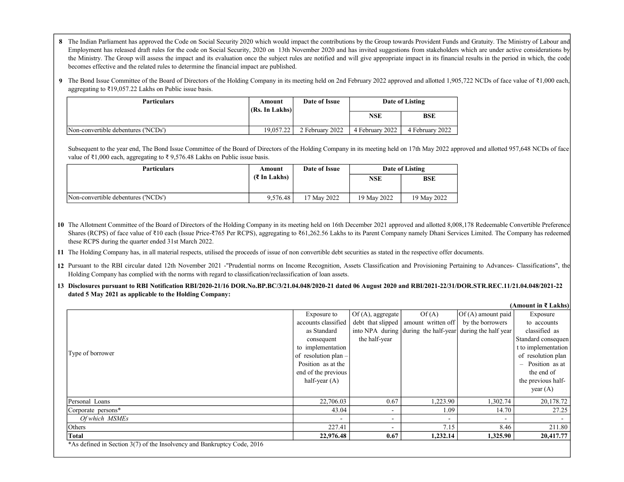- 8 The Indian Parliament has approved the Code on Social Security 2020 which would impact the contributions by the Group towards Provident Funds and Gratuity. The Ministry of Labour and Employment has released draft rules for the code on Social Security, 2020 on 13th November 2020 and has invited suggestions from stakeholders which are under active considerations by the Ministry. The Group will assess the impact and its evaluation once the subject rules are notified and will give appropriate impact in its financial results in the period in which, the code becomes effective and the related rules to determine the financial impact are published.
- 9 The Bond Issue Committee of the Board of Directors of the Holding Company in its meeting held on 2nd February 2022 approved and allotted 1,905,722 NCDs of face value of ₹1,000 each, aggregating to ₹19,057.22 Lakhs on Public issue basis.

| Particulars                         | Amount<br>$(Rs$ . In Lakhs $)$ | Date of Issue   |                 | Date of Listing |
|-------------------------------------|--------------------------------|-----------------|-----------------|-----------------|
|                                     |                                |                 | <b>NSE</b>      | <b>BSE</b>      |
| Non-convertible debentures ('NCDs') | 19,057.22                      | 2 February 2022 | 4 February 2022 | 4 February 2022 |

Subsequent to the year end, The Bond Issue Committee of the Board of Directors of the Holding Company in its meeting held on 17th May 2022 approved and allotted 957,648 NCDs of face value of ₹1,000 each, aggregating to ₹ 9,576.48 Lakhs on Public issue basis.

| Particulars                         | Amount                | Date of Issue |             | Date of Listing |  |
|-------------------------------------|-----------------------|---------------|-------------|-----------------|--|
|                                     | $(3 \text{ In Lakh})$ |               | NSE         | <b>BSE</b>      |  |
| Non-convertible debentures ('NCDs') | 9.576.48              | 17 May 2022   | 19 May 2022 | 19 May 2022     |  |

10 The Allotment Committee of the Board of Directors of the Holding Company in its meeting held on 16th December 2021 approved and allotted 8,008,178 Redeemable Convertible Preference Shares (RCPS) of face value of ₹10 each (Issue Price-₹765 Per RCPS), aggregating to ₹61,262.56 Lakhs to its Parent Company namely Dhani Services Limited. The Company has redeemed these RCPS during the quarter ended 31st March 2022.

11 The Holding Company has, in all material respects, utilised the proceeds of issue of non convertible debt securities as stated in the respective offer documents.

- 12 Pursuant to the RBI circular dated 12th November 2021 -"Prudential norms on Income Recognition, Assets Classification and Provisioning Pertaining to Advances- Classifications", the Holding Company has complied with the norms with regard to classification/reclassification of loan assets.
- 13 Disclosures pursuant to RBI Notification RBI/2020-21/16 DOR.No.BP.BC/3/21.04.048/2020-21 dated 06 August 2020 and RBI/2021-22/31/DOR.STR.REC.11/21.04.048/2021-22 dated 5 May 2021 as applicable to the Holding Company:

(Amount in ₹ Lakhs)

|                                                                         | Exposure to                                                                                                 | Of $(A)$ , aggregate     | Of(A)                                | $\vert$ Of (A) amount paid | Exposure                                   |
|-------------------------------------------------------------------------|-------------------------------------------------------------------------------------------------------------|--------------------------|--------------------------------------|----------------------------|--------------------------------------------|
|                                                                         | accounts classified                                                                                         | debt that slipped        | amount written off                   | by the borrowers           | to accounts                                |
|                                                                         | as Standard                                                                                                 |                          | into NPA during during the half-year | during the half year       | classified as                              |
|                                                                         | consequent                                                                                                  | the half-year            |                                      |                            | Standard consequen                         |
|                                                                         | to implementation<br>of resolution plan $-$<br>Position as at the<br>end of the previous<br>half-year $(A)$ |                          |                                      |                            | t to implementation                        |
| Type of borrower                                                        |                                                                                                             |                          |                                      |                            | of resolution plan                         |
|                                                                         |                                                                                                             |                          |                                      |                            | Position as at<br>$\overline{\phantom{0}}$ |
|                                                                         |                                                                                                             |                          |                                      |                            | the end of                                 |
|                                                                         |                                                                                                             |                          |                                      |                            | the previous half-                         |
|                                                                         |                                                                                                             |                          |                                      |                            | year $(A)$                                 |
| Personal Loans                                                          | 22,706.03                                                                                                   | 0.67                     | 1,223.90                             | 1,302.74                   | 20,178.72                                  |
| Corporate persons*                                                      | 43.04                                                                                                       | $\overline{\phantom{a}}$ | 1.09                                 | 14.70                      | 27.25                                      |
| Of which MSMEs                                                          |                                                                                                             | $\overline{\phantom{0}}$ |                                      |                            |                                            |
| <b>Others</b>                                                           | 227.41                                                                                                      | $\overline{\phantom{0}}$ | 7.15                                 | 8.46                       | 211.80                                     |
| Total                                                                   | 22,976.48                                                                                                   | 0.67                     | 1,232.14                             | 1,325.90                   | 20,417.77                                  |
| *As defined in Section 3(7) of the Insolvency and Bankruptcy Code, 2016 |                                                                                                             |                          |                                      |                            |                                            |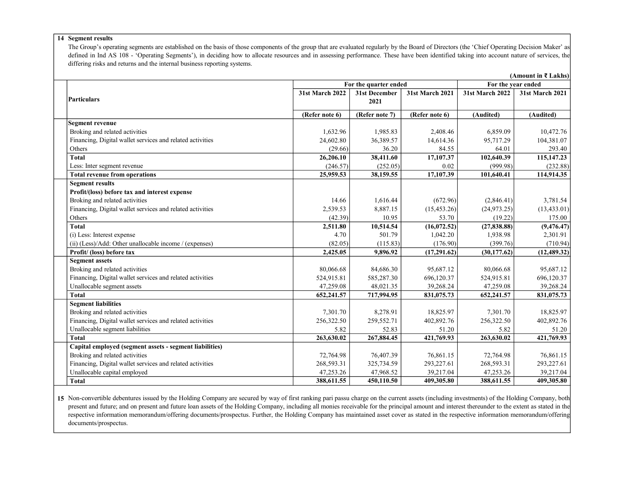#### 14 Segment results

The Group's operating segments are established on the basis of those components of the group that are evaluated regularly by the Board of Directors (the 'Chief Operating Decision Maker' as defined in Ind AS 108 - 'Operating Segments'), in deciding how to allocate resources and in assessing performance. These have been identified taking into account nature of services, the differing risks and returns and the internal business reporting systems.

|                                                           |                        |                       |                         |                        | (Amount in ₹ Lakhs) |
|-----------------------------------------------------------|------------------------|-----------------------|-------------------------|------------------------|---------------------|
|                                                           |                        | For the quarter ended |                         | For the year ended     |                     |
|                                                           | <b>31st March 2022</b> | 31st December         | <b>31st March 2021</b>  | <b>31st March 2022</b> | 31st March 2021     |
| <b>Particulars</b>                                        |                        | 2021                  |                         |                        |                     |
|                                                           | (Refer note 6)         | (Refer note 7)        | (Refer note 6)          | (Audited)              | (Audited)           |
| <b>Segment revenue</b>                                    |                        |                       |                         |                        |                     |
| Broking and related activities                            | 1,632.96               | 1,985.83              | 2,408.46                | 6,859.09               | 10,472.76           |
| Financing, Digital wallet services and related activities | 24,602.80              | 36,389.57             | 14,614.36               | 95,717.29              | 104,381.07          |
| Others                                                    | (29.66)                | 36.20                 | 84.55                   | 64.01                  | 293.40              |
| <b>Total</b>                                              | 26,206.10              | 38,411.60             | $\overline{17, 107.37}$ | 102,640.39             | 115, 147. 23        |
| Less: Inter segment revenue                               | (246.57)               | (252.05)              | 0.02                    | (999.98)               | (232.88)            |
| <b>Total revenue from operations</b>                      | 25,959.53              | 38,159.55             | 17,107.39               | 101,640.41             | 114,914.35          |
| <b>Segment results</b>                                    |                        |                       |                         |                        |                     |
| Profit/(loss) before tax and interest expense             |                        |                       |                         |                        |                     |
| Broking and related activities                            | 14.66                  | 1,616.44              | (672.96)                | (2,846.41)             | 3,781.54            |
| Financing, Digital wallet services and related activities | 2,539.53               | 8,887.15              | (15, 453.26)            | (24, 973.25)           | (13, 433.01)        |
| Others                                                    | (42.39)                | 10.95                 | 53.70                   | (19.22)                | 175.00              |
| <b>Total</b>                                              | 2,511.80               | 10,514.54             | (16,072.52)             | (27, 838.88)           | (9, 476.47)         |
| (i) Less: Interest expense                                | 4.70                   | 501.79                | 1,042.20                | 1,938.98               | 2,301.91            |
| (ii) (Less)/Add: Other unallocable income / (expenses)    | (82.05)                | (115.83)              | (176.90)                | (399.76)               | (710.94)            |
| Profit/ (loss) before tax                                 | 2,425.05               | 9,896.92              | (17,291.62)             | (30, 177.62)           | (12, 489.32)        |
| <b>Segment assets</b>                                     |                        |                       |                         |                        |                     |
| Broking and related activities                            | 80,066.68              | 84,686.30             | 95,687.12               | 80,066.68              | 95,687.12           |
| Financing, Digital wallet services and related activities | 524,915.81             | 585,287.30            | 696,120.37              | 524,915.81             | 696,120.37          |
| Unallocable segment assets                                | 47,259.08              | 48,021.35             | 39,268.24               | 47,259.08              | 39,268.24           |
| <b>Total</b>                                              | 652,241.57             | 717,994.95            | 831,075.73              | 652,241.57             | 831,075.73          |
| <b>Segment liabilities</b>                                |                        |                       |                         |                        |                     |
| Broking and related activities                            | 7,301.70               | 8,278.91              | 18,825.97               | 7,301.70               | 18,825.97           |
| Financing, Digital wallet services and related activities | 256,322.50             | 259,552.71            | 402,892.76              | 256,322.50             | 402,892.76          |
| Unallocable segment liabilities                           | 5.82                   | 52.83                 | 51.20                   | 5.82                   | 51.20               |
| <b>Total</b>                                              | 263,630.02             | 267,884.45            | 421,769.93              | 263,630.02             | 421,769.93          |
| Capital employed (segment assets - segment liabilities)   |                        |                       |                         |                        |                     |
| Broking and related activities                            | 72,764.98              | 76,407.39             | 76,861.15               | 72,764.98              | 76,861.15           |
| Financing, Digital wallet services and related activities | 268,593.31             | 325,734.59            | 293,227.61              | 268,593.31             | 293,227.61          |
| Unallocable capital employed                              | 47,253.26              | 47,968.52             | 39,217.04               | 47,253.26              | 39,217.04           |
| <b>Total</b>                                              | 388,611.55             | 450,110.50            | 409,305.80              | 388,611.55             | 409,305.80          |

15 Non-convertible debentures issued by the Holding Company are secured by way of first ranking pari passu charge on the current assets (including investments) of the Holding Company, both present and future; and on present and future loan assets of the Holding Company, including all monies receivable for the principal amount and interest thereunder to the extent as stated in the respective information memorandum/offering documents/prospectus. Further, the Holding Company has maintained asset cover as stated in the respective information memorandum/offering documents/prospectus.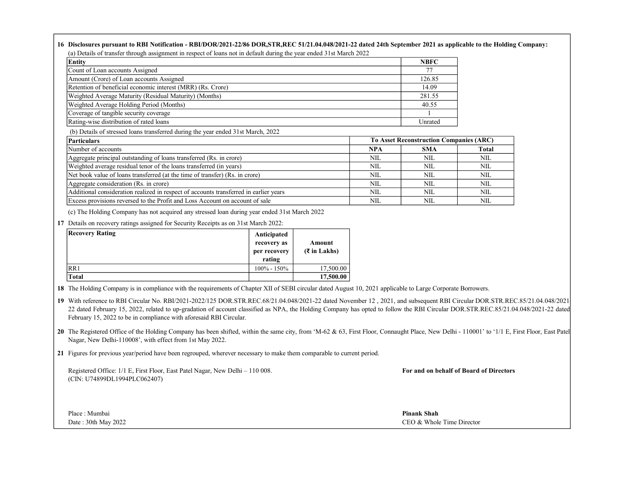#### 16 Disclosures pursuant to RBI Notification - RBI/DOR/2021-22/86 DOR,STR,REC 51/21.04.048/2021-22 dated 24th September 2021 as applicable to the Holding Company: (a) Details of transfer through assignment in respect of loans not in default during the year ended 31st March 2022

| Entity                                                      | <b>NBFC</b> |
|-------------------------------------------------------------|-------------|
| Count of Loan accounts Assigned                             | 77          |
| Amount (Crore) of Loan accounts Assigned                    | 126.85      |
| Retention of beneficial economic interest (MRR) (Rs. Crore) | 14.09       |
| Weighted Average Maturity (Residual Maturity) (Months)      | 281.55      |
| Weighted Average Holding Period (Months)                    | 40.55       |
| Coverage of tangible security coverage                      |             |
| Rating-wise distribution of rated loans                     | Unrated     |

(b) Details of stressed loans transferred during the year ended 31st March, 2022

| Particulars                                                                           | <b>To Asset Reconstruction Companies (ARC)</b> |            |              |
|---------------------------------------------------------------------------------------|------------------------------------------------|------------|--------------|
| Number of accounts                                                                    | <b>NPA</b>                                     | <b>SMA</b> | <b>Total</b> |
| Aggregate principal outstanding of loans transferred (Rs. in crore)                   | NIL                                            | NIL        | NIL          |
| Weighted average residual tenor of the loans transferred (in years)                   | NIL.                                           | NIL        | NIL          |
| Net book value of loans transferred (at the time of transfer) (Rs. in crore)          | NIL.                                           | NIL        | NIL          |
| Aggregate consideration (Rs. in crore)                                                | NIL                                            | NIL        | NIL          |
| Additional consideration realized in respect of accounts transferred in earlier years | NIL                                            | NIL        | NIL          |
| Excess provisions reversed to the Profit and Loss Account on account of sale          | NIL                                            | NIL.       | NIL          |

(c) The Holding Company has not acquired any stressed loan during year ended 31st March 2022

17 Details on recovery ratings assigned for Security Receipts as on 31st March 2022:

| <b>Recovery Rating</b> | Anticipated<br>recovery as<br>per recovery<br>rating | Amount<br>$(3 \in \mathbb{Z}^2)$ in Lakhs) |
|------------------------|------------------------------------------------------|--------------------------------------------|
| RR1                    | $100\% - 150\%$                                      | 17,500.00                                  |
| Total                  |                                                      | 17,500.00                                  |

18 The Holding Company is in compliance with the requirements of Chapter XII of SEBI circular dated August 10, 2021 applicable to Large Corporate Borrowers.

19 With reference to RBI Circular No. RBI/2021-2022/125 DOR.STR.REC.68/21.04.048/2021-22 dated November 12, 2021, and subsequent RBI Circular DOR.STR.REC.85/21.04.048/2021 22 dated February 15, 2022, related to up-gradation of account classified as NPA, the Holding Company has opted to follow the RBI Circular DOR.STR.REC.85/21.04.048/2021-22 dated February 15, 2022 to be in compliance with aforesaid RBI Circular.

20 The Registered Office of the Holding Company has been shifted, within the same city, from 'M-62 & 63, First Floor, Connaught Place, New Delhi - 110001' to '1/1 E, First Floor, East Patel Nagar, New Delhi-110008', with effect from 1st May 2022.

21 Figures for previous year/period have been regrouped, wherever necessary to make them comparable to current period.

Registered Office: 1/1 E, First Floor, East Patel Nagar, New Delhi – 110 008. For and on behalf of Board of Directors (CIN: U74899DL1994PLC062407)

Place : Mumbai **Pinank Shah** Pinank Shah Pinank Shah Pinank Shah Pinank Shah Pinank Shah Pinank Shah Pinank Shah

Date : 30th May 2022 CEO & Whole Time Director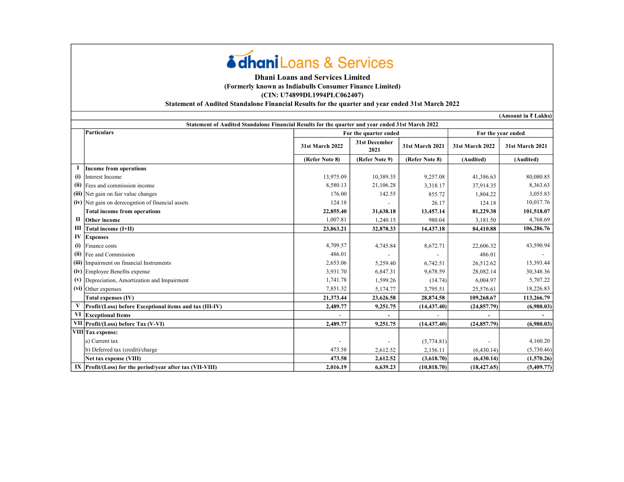# **édhani** Loans & Services

## Dhani Loans and Services Limited (Formerly known as Indiabulls Consumer Finance Limited) (CIN: U74899DL1994PLC062407)

Statement of Audited Standalone Financial Results for the quarter and year ended 31st March 2022

31st March 2022 31st December <sup>2021</sup> 31st March 2021 31st March 2022 31st March 2021 (Refer Note 8) (Refer Note 9) (Refer Note 8) (Audited) (Audited) I Income from operations (i) |Interest Income 10,389.35 | 10,389.35 | 10,389.35 | 9,257.08 | 41,386.63 | 80,080.85 (ii) Fees and commission income 21,106.28  $\vert$  3,318.17 37,914.35 3,363.63 (iii) Net gain on fair value changes 15.6.83 (iv) Net gain on derecogntion of financial assets 124.18 26.17 - 124.18 10,017.76 Total income from operations 101,518.07 (101,518.07 12,855.40 13,457.14 22,855.40 13,457.14 81,229.38 101,518.07 II Other income 1,007.81 980.04 1,240.15 3,181.50 4,768.69 III | Total income (I+II) 32,878.33 23,863.21 23,863.21 23,878.33 24,410.88 23,478.33 34,410.88 106,286.76 IV Expenses (i) Finance costs 4,709.57 8,672.71 4,745.84 22,606.32 43,590.94 (ii)  $\text{[Fe and Commission]}$   $486.01$  -  $486.01$  -  $486.01$ (iii) Impairment on financial Instruments 15,393.44 15,393.44 15,393.44 15,393.44 15,393.44 (iv) Employee Benefits expense  $3,931.70$   $6,847.31$   $9,678.59$   $28,082.14$   $30,348.36$ (v) Depreciation, Amortization and Impairment  $1,741.78$   $1,599.26$   $(14.74)$   $6,004.97$   $5,707.22$ (vi) Other expenses 7,851.32 3,795.51 5,174.77 25,576.61 18,226.83 Total expenses (IV) 21,373.44 23,626.58 28,874.58 28,874.58 109,268.67 113,266.79 V Profit/(Loss) before Exceptional items and tax (III-IV) 9,251.75 2,489.77 (14,437.40) (24,857.79) (6,980.03) VI Exceptional Items - - - - - VII Profit/(Loss) before Tax (V-VI) 2,489.77 2,489.77 (14,437.40) (24,857.79) (6,980.03) VIII Tax expense: a) Current tax  $\begin{bmatrix} 5,774.81 \end{bmatrix}$   $\begin{bmatrix} 5,774.81 \end{bmatrix}$   $\begin{bmatrix} 5,774.81 \end{bmatrix}$   $\begin{bmatrix} 4,160.20 \end{bmatrix}$ b) Deferred tax (credit)/charge 473.58 2,156.11 2,612.52 (6,430.14) (5,730.46) Net tax expense (VIII) (1,570.26) IX |Profit/(Loss) for the period/year after tax (VII-VIII)  $2,016.19$   $6,639.23$   $(10,818.70)$   $(18,427.65)$   $(5,409.77)$ Particulars For the quarter ended For the quarter ended For the year ended For the year ended Statement of Audited Standalone Financial Results for the quarter and year ended 31st March 2022 (Amount in ₹ Lakhs)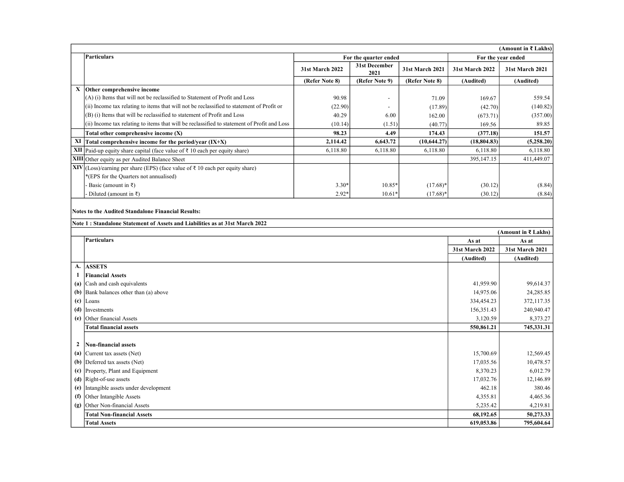|                                                                                                     | (Amount in ₹ Lakhs)                                                                         |                 |                       |                        |                 |                        |
|-----------------------------------------------------------------------------------------------------|---------------------------------------------------------------------------------------------|-----------------|-----------------------|------------------------|-----------------|------------------------|
|                                                                                                     | Particulars                                                                                 |                 | For the quarter ended |                        |                 | For the year ended     |
|                                                                                                     |                                                                                             | 31st March 2022 | 31st December<br>2021 | <b>31st March 2021</b> | 31st March 2022 | <b>31st March 2021</b> |
|                                                                                                     |                                                                                             | (Refer Note 8)  | (Refer Note 9)        | (Refer Note 8)         | (Audited)       | (Audited)              |
| X                                                                                                   | Other comprehensive income                                                                  |                 |                       |                        |                 |                        |
|                                                                                                     | (A) (i) Items that will not be reclassified to Statement of Profit and Loss                 | 90.98           |                       | 71.09                  | 169.67          | 559.54                 |
|                                                                                                     | (ii) Income tax relating to items that will not be reclassified to statement of Profit or   | (22.90)         | $\blacksquare$        | (17.89)                | (42.70)         | (140.82)               |
|                                                                                                     | (B) (i) Items that will be reclassified to statement of Profit and Loss                     | 40.29           | 6.00                  | 162.00                 | (673.71)        | (357.00)               |
|                                                                                                     | (ii) Income tax relating to items that will be reclassified to statement of Profit and Loss | (10.14)         | (1.51)                | (40.77)                | 169.56          | 89.85                  |
|                                                                                                     | Total other comprehensive income (X)                                                        | 98.23           | 4.49                  | 174.43                 | (377.18)        | 151.57                 |
| XI                                                                                                  | Total comprehensive income for the period/year (IX+X)                                       | 2,114.42        | 6,643.72              | (10, 644.27)           | (18, 804.83)    | (5,258.20)             |
| XII                                                                                                 | Paid-up equity share capital (face value of $\bar{\tau}$ 10 each per equity share)          | 6,118.80        | 6,118.80              | 6,118.80               | 6,118.80        | 6,118.80               |
|                                                                                                     | XIII Other equity as per Audited Balance Sheet                                              |                 |                       |                        | 395,147.15      | 411,449.07             |
| XIV                                                                                                 | (Loss)/earning per share (EPS) (face value of ₹ 10 each per equity share)                   |                 |                       |                        |                 |                        |
|                                                                                                     | *(EPS for the Quarters not annualised)                                                      |                 |                       |                        |                 |                        |
|                                                                                                     | Basic (amount in $\bar{x}$ )                                                                | $3.30*$         | 10.85*                | $(17.68)^*$            | (30.12)         | (8.84)                 |
|                                                                                                     | Diluted (amount in $\bar{x}$ )                                                              | $2.92*$         | $10.61*$              | $(17.68)^*$            | (30.12)         | (8.84)                 |
| Note 1: Standalone Statement of Assets and Liabilities as at 31st March 2022<br>(Amount in ₹ Lakhs) |                                                                                             |                 |                       |                        |                 |                        |
|                                                                                                     |                                                                                             |                 |                       |                        |                 |                        |
|                                                                                                     | <b>Particulars</b>                                                                          |                 |                       |                        | As at           | As at                  |
|                                                                                                     |                                                                                             |                 |                       |                        | 31st March 2022 | 31st March 2021        |
|                                                                                                     |                                                                                             |                 |                       |                        | (Audited)       | (Audited)              |
| A.                                                                                                  | <b>ASSETS</b>                                                                               |                 |                       |                        |                 |                        |
| $\mathbf{1}$                                                                                        | <b>Financial Assets</b>                                                                     |                 |                       |                        |                 |                        |
| (a)                                                                                                 | Cash and cash equivalents                                                                   |                 |                       |                        | 41,959.90       | 99,614.37              |
| (b)                                                                                                 | Bank balances other than (a) above                                                          |                 |                       |                        | 14,975.06       | 24,285.85              |
| (c)                                                                                                 | Loans                                                                                       |                 |                       |                        | 334,454.23      | 372,117.35             |
| (d)                                                                                                 | Investments                                                                                 |                 |                       |                        | 156,351.43      | 240,940.47             |
| (e)                                                                                                 | Other financial Assets                                                                      |                 |                       |                        | 3,120.59        | 8,373.27               |
|                                                                                                     | <b>Total financial assets</b>                                                               |                 |                       |                        | 550,861.21      | 745,331.31             |
| $\mathbf{2}$                                                                                        | Non-financial assets                                                                        |                 |                       |                        |                 |                        |
| (a)                                                                                                 | Current tax assets (Net)                                                                    |                 |                       |                        | 15,700.69       | 12,569.45              |
| (b)                                                                                                 | Deferred tax assets (Net)                                                                   |                 |                       |                        | 17,035.56       | 10,478.57              |
|                                                                                                     | (c) Property, Plant and Equipment                                                           |                 |                       |                        | 8,370.23        | 6,012.79               |
|                                                                                                     | $(d)$ Right-of-use assets                                                                   |                 |                       |                        | 17,032.76       | 12,146.89              |
| (e)                                                                                                 | Intangible assets under development                                                         |                 |                       |                        | 462.18          | 380.46                 |
| (f)                                                                                                 | Other Intangible Assets                                                                     |                 |                       |                        | 4,355.81        | 4,465.36               |
| (g)                                                                                                 | Other Non-financial Assets                                                                  |                 |                       |                        | 5,235.42        | 4,219.81               |
|                                                                                                     | <b>Total Non-financial Assets</b>                                                           |                 |                       |                        | 68,192.65       | 50,273.33              |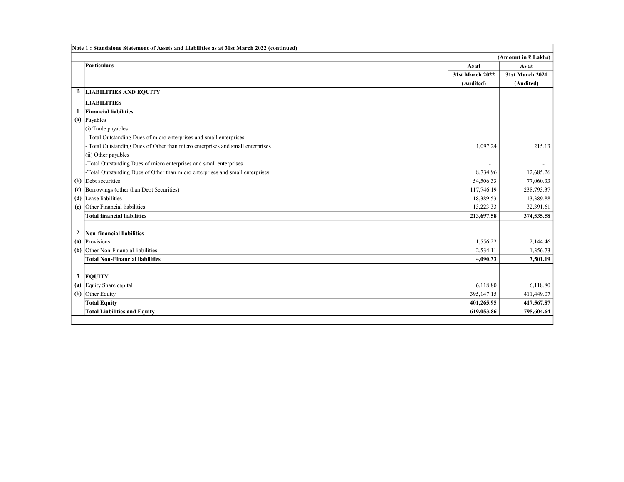|              | Note 1: Standalone Statement of Assets and Liabilities as at 31st March 2022 (continued) |                 |                     |  |
|--------------|------------------------------------------------------------------------------------------|-----------------|---------------------|--|
|              |                                                                                          |                 | (Amount in ₹ Lakhs) |  |
|              | Particulars                                                                              | As at           | As at               |  |
|              |                                                                                          | 31st March 2022 | 31st March 2021     |  |
|              |                                                                                          | (Audited)       | (Audited)           |  |
| B            | <b>LIABILITIES AND EQUITY</b>                                                            |                 |                     |  |
|              | <b>LIABILITIES</b>                                                                       |                 |                     |  |
| 1            | <b>Financial liabilities</b>                                                             |                 |                     |  |
|              | (a) Payables                                                                             |                 |                     |  |
|              | (i) Trade payables                                                                       |                 |                     |  |
|              | Total Outstanding Dues of micro enterprises and small enterprises                        |                 |                     |  |
|              | Total Outstanding Dues of Other than micro enterprises and small enterprises             | 1,097.24        | 215.13              |  |
|              | (ii) Other payables                                                                      |                 |                     |  |
|              | -Total Outstanding Dues of micro enterprises and small enterprises                       |                 |                     |  |
|              | -Total Outstanding Dues of Other than micro enterprises and small enterprises            | 8,734.96        | 12,685.26           |  |
|              | $(b)$ Debt securities                                                                    | 54,506.33       | 77,060.33           |  |
|              | (c) Borrowings (other than Debt Securities)                                              | 117,746.19      | 238,793.37          |  |
|              | (d) Lease liabilities                                                                    | 18,389.53       | 13,389.88           |  |
| (e)          | Other Financial liabilities                                                              | 13,223.33       | 32,391.61           |  |
|              | <b>Total financial liabilities</b>                                                       | 213,697.58      | 374,535.58          |  |
|              |                                                                                          |                 |                     |  |
| $\mathbf{2}$ | Non-financial liabilities                                                                |                 |                     |  |
|              | (a) Provisions                                                                           | 1,556.22        | 2,144.46            |  |
|              | (b) Other Non-Financial liabilities                                                      | 2,534.11        | 1,356.73            |  |
|              | <b>Total Non-Financial liabilities</b>                                                   | 4.090.33        | 3,501.19            |  |
|              |                                                                                          |                 |                     |  |
| 3            | <b>EQUITY</b>                                                                            |                 |                     |  |
|              | (a) Equity Share capital                                                                 | 6,118.80        | 6,118.80            |  |
|              | (b) Other Equity                                                                         | 395,147.15      | 411,449.07          |  |
|              | <b>Total Equity</b>                                                                      | 401,265.95      | 417,567.87          |  |
|              | <b>Total Liabilities and Equity</b>                                                      | 619,053.86      | 795,604.64          |  |
|              |                                                                                          |                 |                     |  |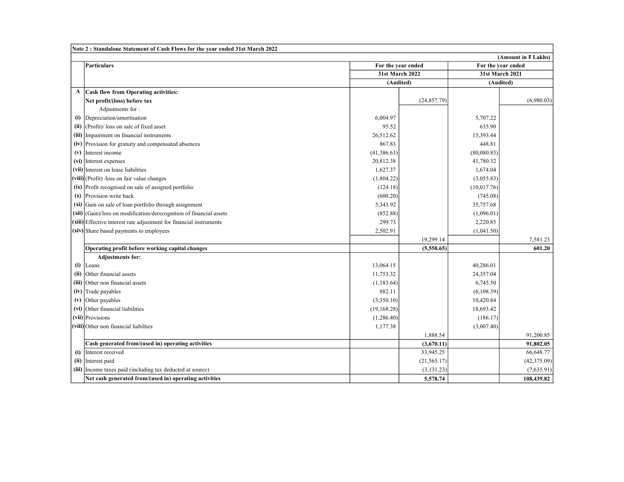|              | Note 2: Standalone Statement of Cash Flows for the year ended 31st March 2022 |                 |                    |                 |                     |
|--------------|-------------------------------------------------------------------------------|-----------------|--------------------|-----------------|---------------------|
|              |                                                                               |                 |                    |                 | (Amount in ₹ Lakhs) |
|              | <b>Particulars</b>                                                            |                 | For the year ended |                 | For the year ended  |
|              |                                                                               | 31st March 2022 |                    | 31st March 2021 |                     |
|              |                                                                               | (Audited)       |                    | (Audited)       |                     |
| $\mathbf{A}$ | <b>Cash flow from Operating activities:</b>                                   |                 |                    |                 |                     |
|              | Net profit/(loss) before tax                                                  |                 | (24, 857.79)       |                 | (6,980.03)          |
|              | Adjustments for:                                                              |                 |                    |                 |                     |
| (i)          | Depreciation/amortisation                                                     | 6,004.97        |                    | 5,707.22        |                     |
| (ii)         | (Profit)/ loss on sale of fixed asset                                         | 95.52           |                    | 635.90          |                     |
|              | (iii) Impairment on financial instruments                                     | 26,512.62       |                    | 15,393.44       |                     |
|              | (iv) Provision for gratuity and compensated absences                          | 867.83          |                    | 448.81          |                     |
|              | $(v)$ Interest income                                                         | (41, 386.63)    |                    | (80,080.85)     |                     |
|              | (vi) Interest expenses                                                        | 20,812.38       |                    | 41,780.32       |                     |
|              | (vii) Interest on lease liabilities                                           | 1,627.37        |                    | 1,674.04        |                     |
|              | (viii) (Profit) /loss on fair value changes                                   | (1,804.22)      |                    | (3,055.83)      |                     |
|              | (ix) Profit recognised on sale of assigned portfolio                          | (124.18)        |                    | (10,017.76)     |                     |
|              | $(x)$ Provision write back                                                    | (600.20)        |                    | (745.08)        |                     |
|              | $(xi)$ Gain on sale of loan portfolio through assignment                      | 5,343.92        |                    | 35,757.68       |                     |
|              | $(xii)$ (Gain)/loss on modification/derecognition of financial assets         | (852.88)        |                    | (1,096.01)      |                     |
|              | (xiii) Effective interest rate adjustment for financial instruments           | 299.73          |                    | 2,220.85        |                     |
|              | $(xiv)$ Share based payments to employees                                     | 2,502.91        |                    | (1,041.50)      |                     |
|              |                                                                               |                 | 19,299.14          |                 | 7,581.23            |
|              | Operating profit before working capital changes                               |                 | (5,558.65)         |                 | 601.20              |
|              | <b>Adjustments for:</b>                                                       |                 |                    |                 |                     |
|              | $(i)$  Loans                                                                  | 13,064.15       |                    | 40,286.01       |                     |
|              | (ii) Other financial assets                                                   | 11,753.32       |                    | 24,357.04       |                     |
|              | (iii) Other non financial assets                                              | (1, 183.64)     |                    | 6,745.50        |                     |
|              | (iv) Trade payables                                                           | 882.11          |                    | (6,108.39)      |                     |
| (v)          | Other payables                                                                | (3,350.10)      |                    | 10,420.84       |                     |
|              | (vi) Other financial liabilities                                              | (19, 168.28)    |                    | 18,693.42       |                     |
|              | (vii) Provisions                                                              | (1,286.40)      |                    | (186.17)        |                     |
|              | (viii) Other non financial liabilties                                         | 1,177.38        |                    | (3,007.40)      |                     |
|              |                                                                               |                 | 1,888.54           |                 | 91.200.85           |
|              | Cash generated from/(used in) operating activities                            |                 | (3,670.11)         |                 | 91,802.05           |
| (i)          | Interest received                                                             |                 | 33,945.25          |                 | 66,648.77           |
|              | (ii) Interest paid                                                            |                 | (21, 565.17)       |                 | (42, 375.09)        |
|              | (iii) Income taxes paid (including tax deducted at source)                    |                 | (3, 131.23)        |                 | (7,635.91)          |
|              | Net cash generated from/(used in) operating activities                        |                 | 5,578.74           |                 | 108,439.82          |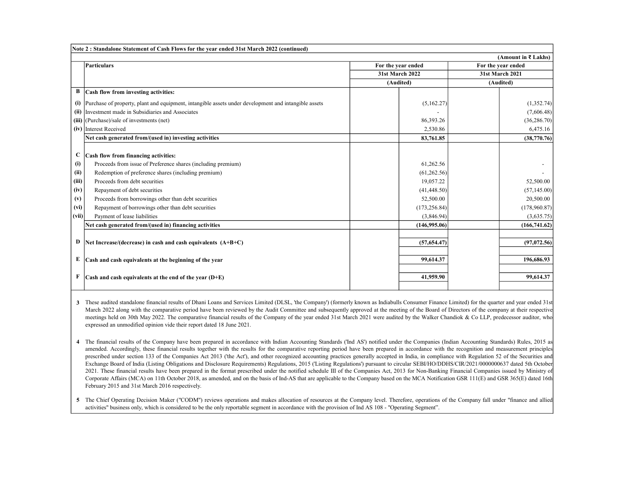|             | Note 2: Standalone Statement of Cash Flows for the year ended 31st March 2022 (continued)            |                    |                        |                    |                        |
|-------------|------------------------------------------------------------------------------------------------------|--------------------|------------------------|--------------------|------------------------|
|             |                                                                                                      |                    |                        |                    | (Amount in ₹ Lakhs)    |
|             | Particulars                                                                                          | For the year ended |                        | For the year ended |                        |
|             |                                                                                                      |                    | <b>31st March 2022</b> |                    | <b>31st March 2021</b> |
|             |                                                                                                      |                    | (Audited)              |                    | (Audited)              |
| В           | Cash flow from investing activities:                                                                 |                    |                        |                    |                        |
| (i)         | Purchase of property, plant and equipment, intangible assets under development and intangible assets |                    | (5,162.27)             |                    | (1,352.74)             |
|             | (ii) Investment made in Subsidiaries and Associates                                                  |                    |                        |                    | (7,606.48)             |
|             | $(iii)$ (Purchase)/sale of investments (net)                                                         |                    | 86,393.26              |                    | (36, 286.70)           |
|             | (iv) Interest Received                                                                               |                    | 2,530.86               |                    | 6,475.16               |
|             | Net cash generated from/(used in) investing activities                                               |                    | 83,761.85              |                    | (38,770.76)            |
|             |                                                                                                      |                    |                        |                    |                        |
| $\mathbf C$ | Cash flow from financing activities:                                                                 |                    |                        |                    |                        |
| (i)         | Proceeds from issue of Preference shares (including premium)                                         |                    | 61,262.56              |                    |                        |
| (ii)        | Redemption of preference shares (including premium)                                                  |                    | (61, 262.56)           |                    |                        |
| (iii)       | Proceeds from debt securities                                                                        |                    | 19,057.22              |                    | 52,500.00              |
| (iv)        | Repayment of debt securities                                                                         |                    | (41, 448.50)           |                    | (57, 145.00)           |
| (v)         | Proceeds from borrowings other than debt securities                                                  |                    | 52,500.00              |                    | 20,500.00              |
| (vi)        | Repayment of borrowings other than debt securities                                                   |                    | (173, 256.84)          |                    | (178,960.87)           |
| (vii)       | Payment of lease liabilities                                                                         |                    | (3,846.94)             |                    | (3,635.75)             |
|             | Net cash generated from/(used in) financing activities                                               |                    | (146,995.06)           |                    | (166, 741.62)          |
|             |                                                                                                      |                    |                        |                    |                        |
| D           | Net Increase/(decrease) in cash and cash equivalents $(A+B+C)$                                       |                    | (57, 654, 47)          |                    | (97,072.56)            |
|             |                                                                                                      |                    |                        |                    |                        |
| Е           | Cash and cash equivalents at the beginning of the year                                               |                    | 99,614.37              |                    | 196,686.93             |
|             |                                                                                                      |                    |                        |                    |                        |
| F           | $\vert$ Cash and cash equivalents at the end of the vear $(D+E)$                                     |                    | 41,959.90              |                    | 99.614.37              |
|             |                                                                                                      |                    |                        |                    |                        |

3 These audited standalone financial results of Dhani Loans and Services Limited (DLSL, 'the Company') (formerly known as Indiabulls Consumer Finance Limited) for the quarter and year ended 31st March 2022 along with the comparative period have been reviewed by the Audit Committee and subsequently approved at the meeting of the Board of Directors of the company at their respective meetings held on 30th May 2022. The comparative financial results of the Company of the year ended 31st March 2021 were audited by the Walker Chandiok & Co LLP, predecessor auditor, who expressed an unmodified opinion vide their report dated 18 June 2021.

4 The financial results of the Company have been prepared in accordance with Indian Accounting Standards (Ind AS') notified under the Companies (Indian Accounting Standards) Rules, 2015 as amended. Accordingly, these financial results together with the results for the comparative reporting period have been prepared in accordance with the recognition and measurement principles prescribed under section 133 of the Companies Act 2013 ('the Act'), and other recognized accounting practices generally accepted in India, in compliance with Regulation 52 of the Securities and Exchange Board of India (Listing Obligations and Disclosure Requirements) Regulations, 2015 ('Listing Regulations') pursuant to circular SEBI/HO/DDHS/CIR/2021/0000000637 dated 5th October 2021. These financial results have been prepared in the format prescribed under the notified schedule III of the Companies Act, 2013 for Non-Banking Financial Companies issued by Ministry of Corporate Affairs (MCA) on 11th October 2018, as amended, and on the basis of Ind-AS that are applicable to the Company based on the MCA Notification GSR 111(E) and GSR 365(E) dated 16th February 2015 and 31st March 2016 respectively.

5 The Chief Operating Decision Maker ("CODM") reviews operations and makes allocation of resources at the Company level. Therefore, operations of the Company fall under "finance and allied activities" business only, which is considered to be the only reportable segment in accordance with the provision of Ind AS 108 - "Operating Segment".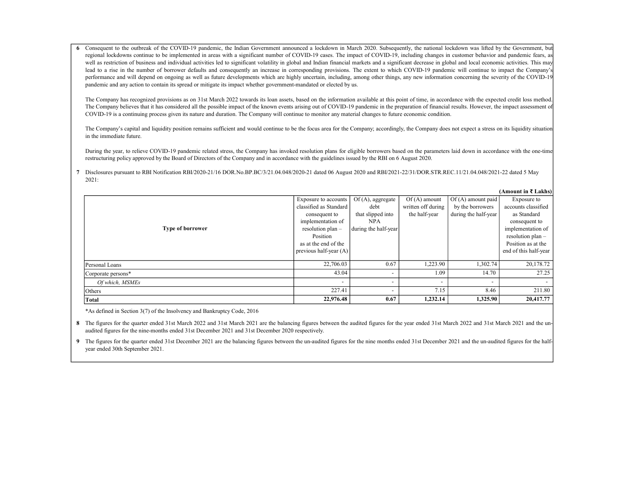6 Consequent to the outbreak of the COVID-19 pandemic, the Indian Government announced a lockdown in March 2020. Subsequently, the national lockdown was lifted by the Government, but regional lockdowns continue to be implemented in areas with a significant number of COVID-19 cases. The impact of COVID-19, including changes in customer behavior and pandemic fears, as well as restriction of business and individual activities led to significant volatility in global and Indian financial markets and a significant decrease in global and local economic activities. This may lead to a rise in the number of borrower defaults and consequently an increase in corresponding provisions. The extent to which COVID-19 pandemic will continue to impact the Company's performance and will depend on ongoing as well as future developments which are highly uncertain, including, among other things, any new information concerning the severity of the COVID-19 pandemic and any action to contain its spread or mitigate its impact whether government-mandated or elected by us.

The Company has recognized provisions as on 31st March 2022 towards its loan assets, based on the information available at this point of time, in accordance with the expected credit loss method. The Company believes that it has considered all the possible impact of the known events arising out of COVID-19 pandemic in the preparation of financial results. However, the impact assessment of COVID-19 is a continuing process given its nature and duration. The Company will continue to monitor any material changes to future economic condition.

The Company's capital and liquidity position remains sufficient and would continue to be the focus area for the Company; accordingly, the Company does not expect a stress on its liquidity situation in the immediate future.

During the year, to relieve COVID-19 pandemic related stress, the Company has invoked resolution plans for eligible borrowers based on the parameters laid down in accordance with the one-time restructuring policy approved by the Board of Directors of the Company and in accordance with the guidelines issued by the RBI on 6 August 2020.

 $(A$  mount in  $\overline{z}$  Lakhs)

7 Disclosures pursuant to RBI Notification RBI/2020-21/16 DOR.No.BP.BC/3/21.04.048/2020-21 dated 06 August 2020 and RBI/2021-22/31/DOR.STR.REC.11/21.04.048/2021-22 dated 5 May 2021:

|                         |                          |                          |                          |                          | (АШОИЩ III X LAKIIS)     |
|-------------------------|--------------------------|--------------------------|--------------------------|--------------------------|--------------------------|
|                         | Exposure to accounts     | $Of(A)$ , aggregate      | $Of(A)$ amount           | Of (A) amount paid       | Exposure to              |
|                         | classified as Standard   | debt                     | written off during       | by the borrowers         | accounts classified      |
|                         | consequent to            | that slipped into        | the half-year            | during the half-year     | as Standard              |
|                         | implementation of        | <b>NPA</b>               |                          |                          | consequent to            |
| <b>Type of borrower</b> | resolution plan -        | during the half-year     |                          |                          | implementation of        |
|                         | Position                 |                          |                          |                          | resolution plan -        |
|                         | as at the end of the     |                          |                          |                          | Position as at the       |
|                         | previous half-year $(A)$ |                          |                          |                          | end of this half-year    |
|                         |                          |                          |                          |                          |                          |
| Personal Loans          | 22,706.03                | 0.67                     | .223.90                  | 1,302.74                 | 20,178.72                |
| Corporate persons*      | 43.04                    | $\overline{\phantom{0}}$ | 1.09                     | 14.70                    | 27.25                    |
| Of which, MSMEs         | $\overline{\phantom{a}}$ | $\overline{\phantom{a}}$ | $\overline{\phantom{0}}$ | $\overline{\phantom{0}}$ | $\overline{\phantom{0}}$ |
| Others                  | 227.41                   | $\overline{\phantom{0}}$ | 7.15                     | 8.46                     | 211.80                   |
| Total                   | 22,976.48                | 0.67                     | 1,232.14                 | 1,325.90                 | 20,417.77                |

\*As defined in Section 3(7) of the Insolvency and Bankruptcy Code, 2016

8 The figures for the quarter ended 31st March 2022 and 31st March 2021 are the balancing figures between the audited figures for the year ended 31st March 2022 and 31st March 2021 and the unaudited figures for the nine-months ended 31st December 2021 and 31st December 2020 respectively.

9 The figures for the quarter ended 31st December 2021 are the balancing figures between the un-audited figures for the nine months ended 31st December 2021 and the un-audited figures for the halfyear ended 30th September 2021.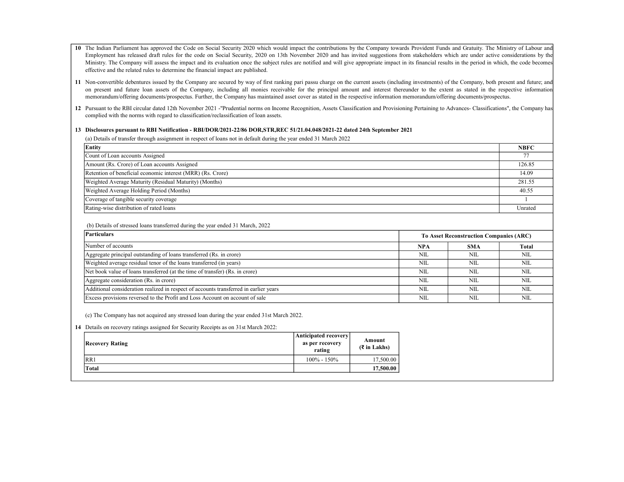- 10 The Indian Parliament has approved the Code on Social Security 2020 which would impact the contributions by the Company towards Provident Funds and Gratuity. The Ministry of Labour and Employment has released draft rules for the code on Social Security, 2020 on 13th November 2020 and has invited suggestions from stakeholders which are under active considerations by the Ministry. The Company will assess the impact and its evaluation once the subject rules are notified and will give appropriate impact in its financial results in the period in which, the code becomes effective and the related rules to determine the financial impact are published.
- 11 Non-convertible debentures issued by the Company are secured by way of first ranking pari passu charge on the current assets (including investments) of the Company, both present and future; and on present and future loan assets of the Company, including all monies receivable for the principal amount and interest thereunder to the extent as stated in the respective information memorandum/offering documents/prospectus. Further, the Company has maintained asset cover as stated in the respective information memorandum/offering documents/prospectus.
- 12 Pursuant to the RBI circular dated 12th November 2021 -"Prudential norms on Income Recognition, Assets Classification and Provisioning Pertaining to Advances- Classifications", the Company has complied with the norms with regard to classification/reclassification of loan assets.

#### 13 Disclosures pursuant to RBI Notification - RBI/DOR/2021-22/86 DOR,STR,REC 51/21.04.048/2021-22 dated 24th September 2021

(a) Details of transfer through assignment in respect of loans not in default during the year ended 31 March 2022

| Entity                                                      | <b>NBFC</b> |
|-------------------------------------------------------------|-------------|
| Count of Loan accounts Assigned                             |             |
| Amount (Rs. Crore) of Loan accounts Assigned                | 126.85      |
| Retention of beneficial economic interest (MRR) (Rs. Crore) | 14.09       |
| Weighted Average Maturity (Residual Maturity) (Months)      | 281.55      |
| Weighted Average Holding Period (Months)                    | 40.55       |
| Coverage of tangible security coverage                      |             |
| Rating-wise distribution of rated loans                     | Unrated     |

#### (b) Details of stressed loans transferred during the year ended 31 March, 2022

| Particulars                                                                           | <b>To Asset Reconstruction Companies (ARC)</b> |            |       |
|---------------------------------------------------------------------------------------|------------------------------------------------|------------|-------|
| Number of accounts                                                                    | <b>NPA</b>                                     | <b>SMA</b> | Total |
| Aggregate principal outstanding of loans transferred (Rs. in crore)                   | NIL                                            | NIL        | NIL   |
| Weighted average residual tenor of the loans transferred (in years)                   | NIL                                            | NIL        | NIL   |
| Net book value of loans transferred (at the time of transfer) (Rs. in crore)          | NIL                                            | NII.       | NIL   |
| Aggregate consideration (Rs. in crore)                                                | NIL                                            | NII.       | NIL   |
| Additional consideration realized in respect of accounts transferred in earlier years | <b>NIL</b>                                     | <b>NIL</b> | NIL   |
| Excess provisions reversed to the Profit and Loss Account on account of sale          | <b>NIL</b>                                     | <b>NIL</b> | NIL   |

(c) The Company has not acquired any stressed loan during the year ended 31st March 2022.

14 Details on recovery ratings assigned for Security Receipts as on 31st March 2022:

| <b>Recovery Rating</b> | Anticipated recovery<br>as per recovery<br>rating | Amount<br>$(3 \in \mathbb{Z}^n)$ Lakhs) |
|------------------------|---------------------------------------------------|-----------------------------------------|
| RR1                    | $100\% - 150\%$                                   | 17,500.00                               |
| Total                  |                                                   | 17,500.00                               |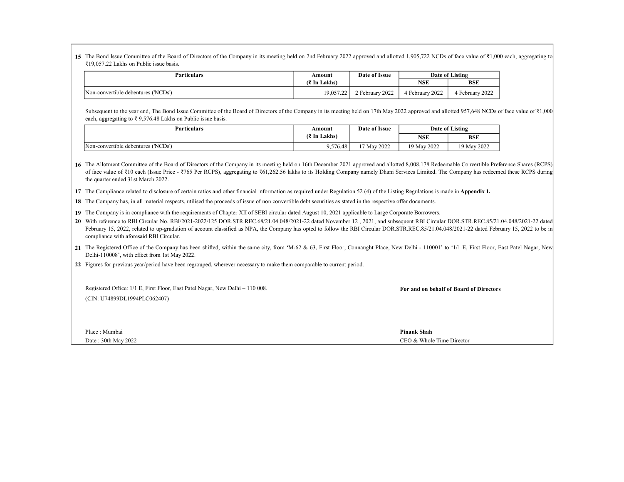15 The Bond Issue Committee of the Board of Directors of the Company in its meeting held on 2nd February 2022 approved and allotted 1,905,722 NCDs of face value of ₹1,000 each, aggregating to ₹19,057.22 Lakhs on Public issue basis.

| <b>Particulars</b>                  | Amount       | Date of Issue   |               | Date of Listing |
|-------------------------------------|--------------|-----------------|---------------|-----------------|
|                                     | (₹ In Lakhs) |                 | <b>NSE</b>    | <b>BSE</b>      |
| Non-convertible debentures ('NCDs') | 19,057.22    | 2 February 2022 | February 2022 | 4 February 2022 |

Subsequent to the year end, The Bond Issue Committee of the Board of Directors of the Company in its meeting held on 17th May 2022 approved and allotted 957,648 NCDs of face value of ₹1,000 each, aggregating to  $\overline{\xi}$  9,576.48 Lakhs on Public issue basis.

| <b>Particulars</b>                  | Amount       | Date of Issue | Date of Listing |             |
|-------------------------------------|--------------|---------------|-----------------|-------------|
|                                     | (₹ In Lakhs) |               | <b>NSE</b>      | <b>BSE</b>  |
| Non-convertible debentures ('NCDs') | 9,576.48     | 17 May 2022   | 19 May 2022     | 19 May 2022 |

16 The Allotment Committee of the Board of Directors of the Company in its meeting held on 16th December 2021 approved and allotted 8,008,178 Redeemable Convertible Preference Shares (RCPS) of face value of ₹10 each (Issue Price - ₹765 Per RCPS), aggregating to ₹61,262.56 lakhs to its Holding Company namely Dhani Services Limited. The Company has redeemed these RCPS during the quarter ended 31st March 2022.

17 The Compliance related to disclosure of certain ratios and other financial information as required under Regulation 52 (4) of the Listing Regulations is made in Appendix 1.

18 The Company has, in all material respects, utilised the proceeds of issue of non convertible debt securities as stated in the respective offer documents.

19 The Company is in compliance with the requirements of Chapter XII of SEBI circular dated August 10, 2021 applicable to Large Corporate Borrowers.

20 With reference to RBI Circular No. RBI/2021-2022/125 DOR.STR.REC.68/21.04.048/2021-22 dated November 12, 2021, and subsequent RBI Circular DOR.STR.REC.85/21.04.048/2021-22 dated February 15, 2022, related to up-gradation of account classified as NPA, the Company has opted to follow the RBI Circular DOR.STR.REC.85/21.04.048/2021-22 dated February 15, 2022 to be in compliance with aforesaid RBI Circular.

21 The Registered Office of the Company has been shifted, within the same city, from 'M-62 & 63, First Floor, Connaught Place, New Delhi - 110001' to '1/1 E, First Floor, East Patel Nagar, New Delhi-110008', with effect from 1st May 2022.

22 Figures for previous year/period have been regrouped, wherever necessary to make them comparable to current period.

| Registered Office: 1/1 E, First Floor, East Patel Nagar, New Delhi – 110 008. | For and on behalf of Board of Directors |
|-------------------------------------------------------------------------------|-----------------------------------------|
| (CIN: U74899DL1994PLC062407)                                                  |                                         |
|                                                                               |                                         |
|                                                                               |                                         |
|                                                                               |                                         |
| Place: Mumbai                                                                 | <b>Pinank Shah</b>                      |
| Date: 30th May 2022                                                           | CEO & Whole Time Director               |
|                                                                               |                                         |